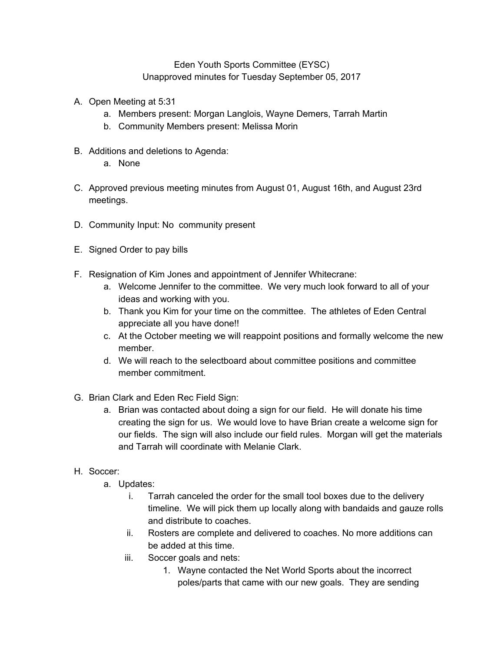## Eden Youth Sports Committee (EYSC) Unapproved minutes for Tuesday September 05, 2017

- A. Open Meeting at 5:31
	- a. Members present: Morgan Langlois, Wayne Demers, Tarrah Martin
	- b. Community Members present: Melissa Morin
- B. Additions and deletions to Agenda:
	- a. None
- C. Approved previous meeting minutes from August 01, August 16th, and August 23rd meetings.
- D. Community Input: No community present
- E. Signed Order to pay bills
- F. Resignation of Kim Jones and appointment of Jennifer Whitecrane:
	- a. Welcome Jennifer to the committee. We very much look forward to all of your ideas and working with you.
	- b. Thank you Kim for your time on the committee. The athletes of Eden Central appreciate all you have done!!
	- c. At the October meeting we will reappoint positions and formally welcome the new member.
	- d. We will reach to the selectboard about committee positions and committee member commitment.
- G. Brian Clark and Eden Rec Field Sign:
	- a. Brian was contacted about doing a sign for our field. He will donate his time creating the sign for us. We would love to have Brian create a welcome sign for our fields. The sign will also include our field rules. Morgan will get the materials and Tarrah will coordinate with Melanie Clark.
- H. Soccer:
	- a. Updates:
		- i. Tarrah canceled the order for the small tool boxes due to the delivery timeline. We will pick them up locally along with bandaids and gauze rolls and distribute to coaches.
		- ii. Rosters are complete and delivered to coaches. No more additions can be added at this time.
		- iii. Soccer goals and nets:
			- 1. Wayne contacted the Net World Sports about the incorrect poles/parts that came with our new goals. They are sending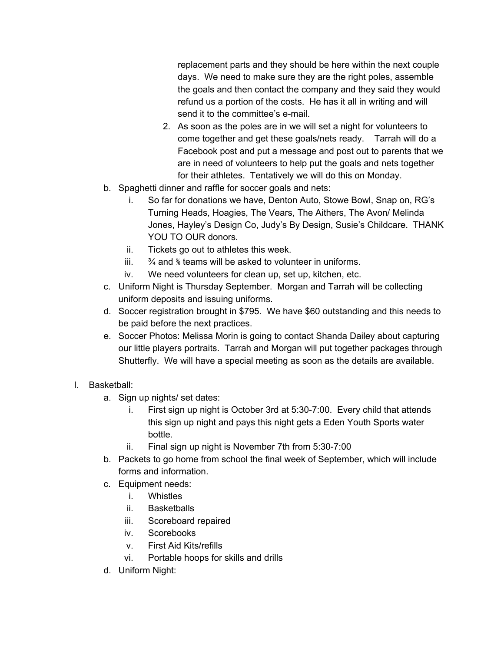replacement parts and they should be here within the next couple days. We need to make sure they are the right poles, assemble the goals and then contact the company and they said they would refund us a portion of the costs. He has it all in writing and will send it to the committee's e-mail.

- 2. As soon as the poles are in we will set a night for volunteers to come together and get these goals/nets ready. Tarrah will do a Facebook post and put a message and post out to parents that we are in need of volunteers to help put the goals and nets together for their athletes. Tentatively we will do this on Monday.
- b. Spaghetti dinner and raffle for soccer goals and nets:
	- i. So far for donations we have, Denton Auto, Stowe Bowl, Snap on, RG's Turning Heads, Hoagies, The Vears, The Aithers, The Avon/ Melinda Jones, Hayley's Design Co, Judy's By Design, Susie's Childcare. THANK YOU TO OUR donors.
	- ii. Tickets go out to athletes this week.
	- iii.  $\frac{3}{4}$  and  $\frac{6}{8}$  teams will be asked to volunteer in uniforms.
	- iv. We need volunteers for clean up, set up, kitchen, etc.
- c. Uniform Night is Thursday September. Morgan and Tarrah will be collecting uniform deposits and issuing uniforms.
- d. Soccer registration brought in \$795. We have \$60 outstanding and this needs to be paid before the next practices.
- e. Soccer Photos: Melissa Morin is going to contact Shanda Dailey about capturing our little players portraits. Tarrah and Morgan will put together packages through Shutterfly. We will have a special meeting as soon as the details are available.
- I. Basketball:
	- a. Sign up nights/ set dates:
		- i. First sign up night is October 3rd at 5:30-7:00. Every child that attends this sign up night and pays this night gets a Eden Youth Sports water bottle.
		- ii. Final sign up night is November 7th from 5:30-7:00
	- b. Packets to go home from school the final week of September, which will include forms and information.
	- c. Equipment needs:
		- i. Whistles
		- ii. Basketballs
		- iii. Scoreboard repaired
		- iv. Scorebooks
		- v. First Aid Kits/refills
		- vi. Portable hoops for skills and drills
	- d. Uniform Night: